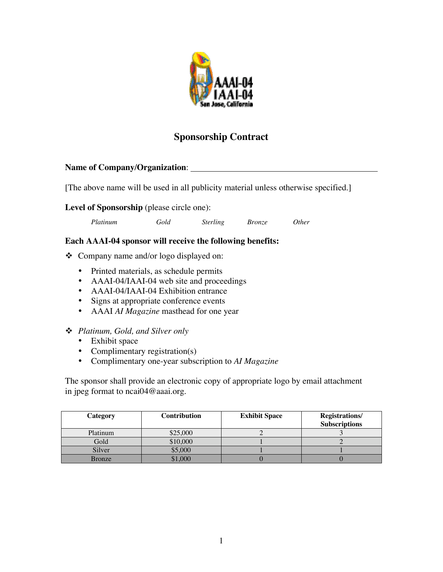

## **Sponsorship Contract**

## **Name of Company/Organization**:

[The above name will be used in all publicity material unless otherwise specified.]

## **Level of Sponsorship** (please circle one):

|  | Platinum | Gold | <i>Sterling</i> | <i>Bronze</i> | 0ther |
|--|----------|------|-----------------|---------------|-------|
|--|----------|------|-----------------|---------------|-------|

## **Each AAAI-04 sponsor will receive the following benefits:**

v Company name and/or logo displayed on:

Printed materials, as schedule permits AAAI-04/IAAI-04 web site and proceedings AAAI-04/IAAI-04 Exhibition entrance Signs at appropriate conference events AAAI *AI Magazine* masthead for one year

v *Platinum, Gold, and Silver only* Exhibit space Complimentary registration(s) Complimentary one-year subscription to *AI Magazine*

The sponsor shall provide an electronic copy of appropriate logo by email attachment in jpeg format to ncai04@aaai.org.

| Category | <b>Contribution</b> | <b>Exhibit Space</b> | <b>Registrations/</b><br><b>Subscriptions</b> |
|----------|---------------------|----------------------|-----------------------------------------------|
| Platinum | \$25,000            |                      |                                               |
| Gold     | \$10,000            |                      |                                               |
| Silver   | \$5,000             |                      |                                               |
| Bronze   | 000,                |                      |                                               |